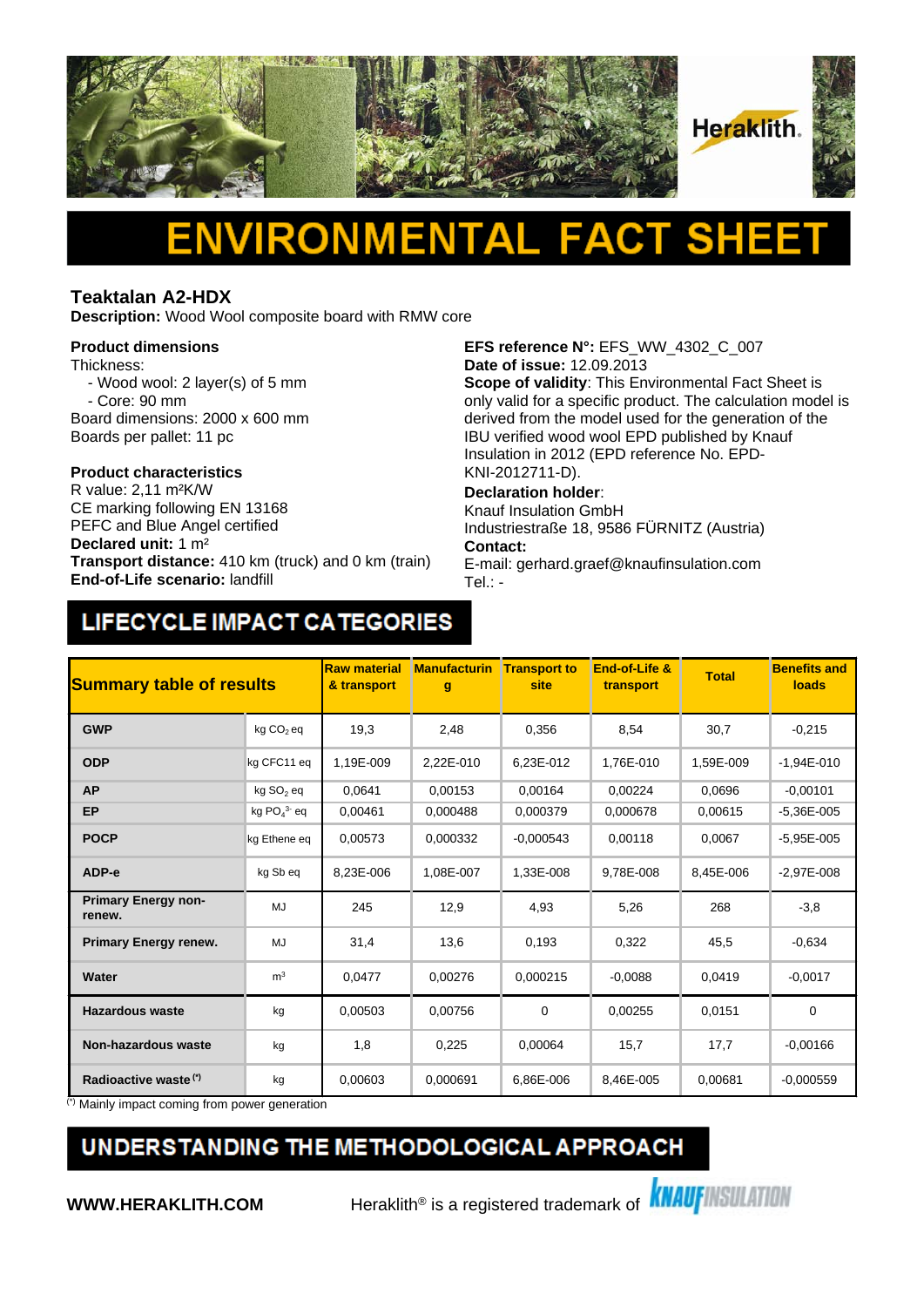

# Δ

#### **Teaktalan A2-HDX**

**Description:** Wood Wool composite board with RMW core

#### **Product dimensions**

Thickness:

- Wood wool: 2 layer(s) of 5 mm - Core: 90 mm
- Board dimensions: 2000 x 600 mm
- Boards per pallet: 11 pc

## **Product characteristics**

CE marking following EN 13168 PEFC and Blue Angel certified **Declared unit:** 1 m² **Transport distance:** 410 km (truck) and 0 km (train) **End-of-Life scenario:** landfill

**EFS reference N°:** EFS\_WW\_4302\_C\_007 **Date of issue:** 12.09.2013

**Scope of validity**: This Environmental Fact Sheet is only valid for a specific product. The calculation model is derived from the model used for the generation of the IBU verified wood wool EPD published by Knauf Insulation in 2012 (EPD reference No. EPD-KNI-2012711-D).

#### **Declaration holder**:

Knauf Insulation GmbH Industriestraße 18, 9586 FÜRNITZ (Austria) **Contact:** 

E-mail: gerhard.graef@knaufinsulation.com Tel.: -

### LIFECYCLE IMPACT CATEGORIES

| <b>Summary table of results</b>      |                       | <b>Raw material</b><br>& transport | <b>Manufacturin</b><br>g | <b>Transport to</b><br>site | End-of-Life &<br>transport | <b>Total</b> | <b>Benefits and</b><br>loads |
|--------------------------------------|-----------------------|------------------------------------|--------------------------|-----------------------------|----------------------------|--------------|------------------------------|
| <b>GWP</b>                           | kg CO <sub>2</sub> eq | 19,3                               | 2,48                     | 0,356                       | 8,54                       | 30,7         | $-0,215$                     |
| <b>ODP</b>                           | kg CFC11 eq           | 1.19E-009                          | 2.22E-010                | 6.23E-012                   | 1.76E-010                  | 1,59E-009    | $-1.94E - 010$               |
| <b>AP</b>                            | kg SO <sub>2</sub> eq | 0.0641                             | 0,00153                  | 0.00164                     | 0,00224                    | 0,0696       | $-0,00101$                   |
| <b>EP</b>                            | kg $PO43$ eq          | 0.00461                            | 0,000488                 | 0.000379                    | 0.000678                   | 0.00615      | $-5.36E - 005$               |
| <b>POCP</b>                          | kg Ethene eq          | 0,00573                            | 0,000332                 | $-0,000543$                 | 0,00118                    | 0,0067       | $-5,95E-005$                 |
| ADP-e                                | kg Sb eq              | 8,23E-006                          | 1,08E-007                | 1,33E-008                   | 9,78E-008                  | 8,45E-006    | $-2,97E-008$                 |
| <b>Primary Energy non-</b><br>renew. | MJ                    | 245                                | 12,9                     | 4,93                        | 5,26                       | 268          | $-3,8$                       |
| <b>Primary Energy renew.</b>         | MJ                    | 31,4                               | 13,6                     | 0,193                       | 0,322                      | 45,5         | $-0,634$                     |
| Water                                | m <sup>3</sup>        | 0,0477                             | 0,00276                  | 0.000215                    | $-0.0088$                  | 0,0419       | $-0,0017$                    |
| <b>Hazardous waste</b>               | kg                    | 0,00503                            | 0,00756                  | 0                           | 0,00255                    | 0,0151       | $\mathbf 0$                  |
| <b>Non-hazardous waste</b>           | kg                    | 1,8                                | 0,225                    | 0,00064                     | 15,7                       | 17,7         | $-0,00166$                   |
| Radioactive waste <sup>(*)</sup>     | kg                    | 0,00603                            | 0,000691                 | 6,86E-006                   | 8,46E-005                  | 0,00681      | $-0.000559$                  |

(\*) Mainly impact coming from power generation

### UNDERSTANDING THE METHODOLOGICAL APPROACH

**WWW.HERAKLITH.COM** Heraklith<sup>®</sup> is a registered trademark of **KNAUFINSULATION**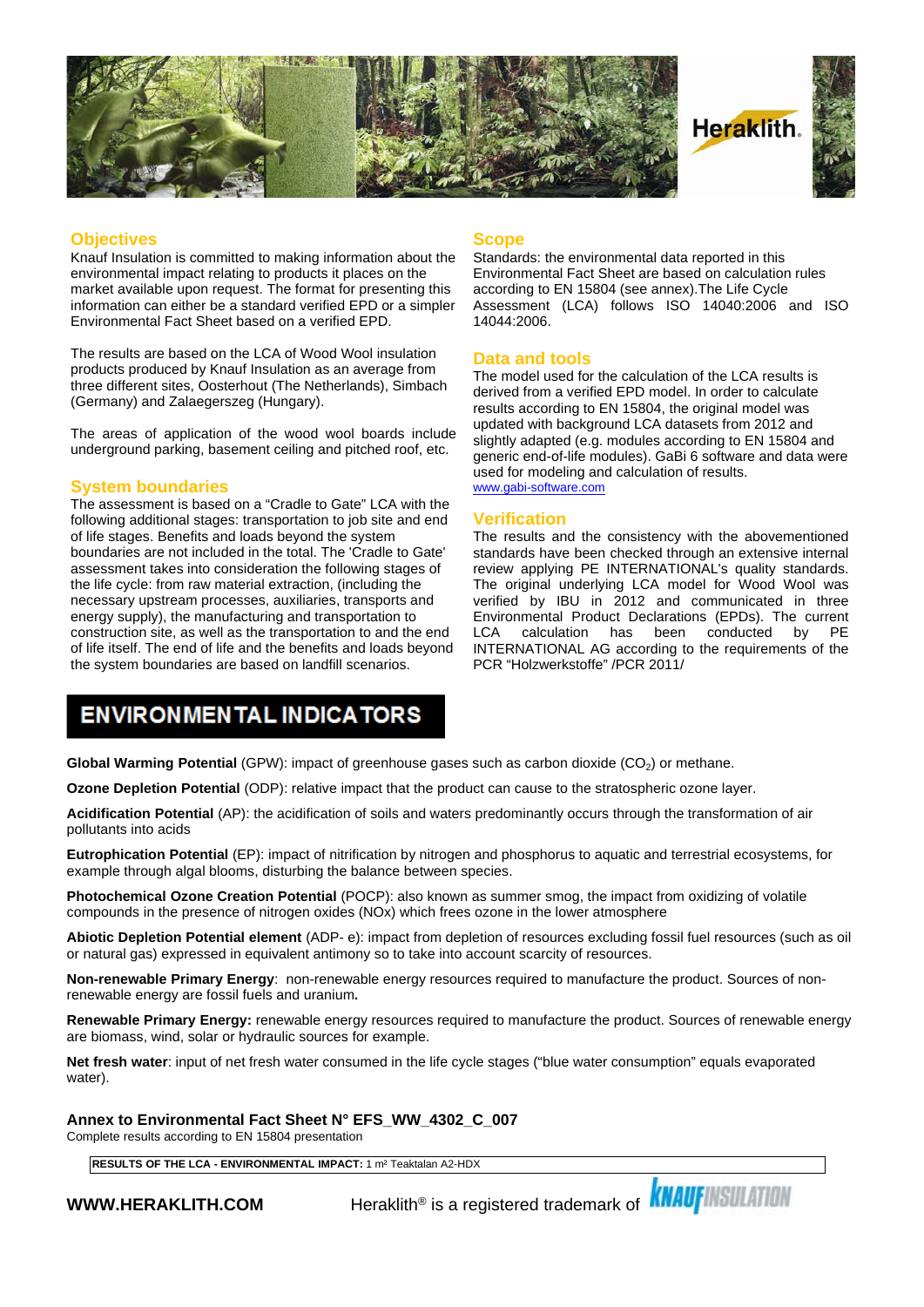

#### **Objectives**

Knauf Insulation is committed to making information about the environmental impact relating to products it places on the market available upon request. The format for presenting this information can either be a standard verified EPD or a simpler Environmental Fact Sheet based on a verified EPD.

The results are based on the LCA of Wood Wool insulation products produced by Knauf Insulation as an average from three different sites, Oosterhout (The Netherlands), Simbach (Germany) and Zalaegerszeg (Hungary).

The areas of application of the wood wool boards include underground parking, basement ceiling and pitched roof, etc.

#### **System boundaries**

The assessment is based on a "Cradle to Gate" LCA with the following additional stages: transportation to job site and end of life stages. Benefits and loads beyond the system boundaries are not included in the total. The 'Cradle to Gate' assessment takes into consideration the following stages of the life cycle: from raw material extraction, (including the necessary upstream processes, auxiliaries, transports and energy supply), the manufacturing and transportation to construction site, as well as the transportation to and the end LCA of life itself. The end of life and the benefits and loads beyond the system boundaries are based on landfill scenarios.

#### **Scope**

Standards: the environmental data reported in this Environmental Fact Sheet are based on calculation rules according to EN 15804 (see annex).The Life Cycle Assessment (LCA) follows ISO 14040:2006 and ISO 14044:2006.

#### **Data and tools**

The model used for the calculation of the LCA results is derived from a verified EPD model. In order to calculate results according to EN 15804, the original model was updated with background LCA datasets from 2012 and slightly adapted (e.g. modules according to EN 15804 and generic end-of-life modules). GaBi 6 software and data were used for modeling and calculation of results. [www.gabi-software.com](http://www.gabi-software.com)

#### **Verification**

The results and the consistency with the abovementioned standards have been checked through an extensive internal review applying PE INTERNATIONAL's quality standards. The original underlying LCA model for Wood Wool was verified by IBU in 2012 and communicated in three Environmental Product Declarations (EPDs). The current calculation has been conducted INTERNATIONAL AG according to the requirements of the PCR "Holzwerkstoffe" /PCR 2011/

### **ENVIRONMENTAL INDICATORS**

**Global Warming Potential** (GPW): impact of greenhouse gases such as carbon dioxide (CO<sub>2</sub>) or methane.

**Ozone Depletion Potential** (ODP): relative impact that the product can cause to the stratospheric ozone layer.

**Acidification Potential** (AP): the acidification of soils and waters predominantly occurs through the transformation of air pollutants into acids

**Eutrophication Potential** (EP): impact of nitrification by nitrogen and phosphorus to aquatic and terrestrial ecosystems, for example through algal blooms, disturbing the balance between species.

**Photochemical Ozone Creation Potential** (POCP): also known as summer smog, the impact from oxidizing of volatile compounds in the presence of nitrogen oxides (NOx) which frees ozone in the lower atmosphere

**Abiotic Depletion Potential element** (ADP- e): impact from depletion of resources excluding fossil fuel resources (such as oil or natural gas) expressed in equivalent antimony so to take into account scarcity of resources.

**Non-renewable Primary Energy**: non-renewable energy resources required to manufacture the product. Sources of nonrenewable energy are fossil fuels and uranium**.**

**Renewable Primary Energy:** renewable energy resources required to manufacture the product. Sources of renewable energy are biomass, wind, solar or hydraulic sources for example.

**Net fresh water**: input of net fresh water consumed in the life cycle stages ("blue water consumption" equals evaporated water).

**Annex to Environmental Fact Sheet N° EFS\_WW\_4302\_C\_007**

Complete results according to EN 15804 presentation

**RESULTS OF THE LCA - ENVIRONMENTAL IMPACT:** 1 m² Teaktalan A2-HDX

**WWW.HERAKLITH.COM** Peraklith® is a registered trademark of **KNAUFINSULATION**